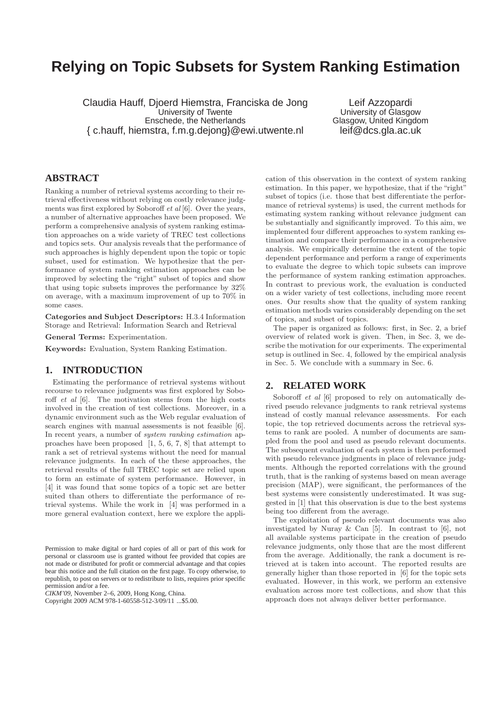# **Relying on Topic Subsets for System Ranking Estimation**

Claudia Hauff, Djoerd Hiemstra, Franciska de Jong University of Twente Enschede, the Netherlands { c.hauff, hiemstra, f.m.g.dejong}@ewi.utwente.nl

Leif Azzopardi University of Glasgow Glasgow, United Kingdom leif@dcs.gla.ac.uk

# **ABSTRACT**

Ranking a number of retrieval systems according to their retrieval effectiveness without relying on costly relevance judgments was first explored by Soboroff et al [6]. Over the years, a number of alternative approaches have been proposed. We perform a comprehensive analysis of system ranking estimation approaches on a wide variety of TREC test collections and topics sets. Our analysis reveals that the performance of such approaches is highly dependent upon the topic or topic subset, used for estimation. We hypothesize that the performance of system ranking estimation approaches can be improved by selecting the "right" subset of topics and show that using topic subsets improves the performance by 32% on average, with a maximum improvement of up to 70% in some cases.

Categories and Subject Descriptors: H.3.4 Information Storage and Retrieval: Information Search and Retrieval

General Terms: Experimentation.

Keywords: Evaluation, System Ranking Estimation.

## **1. INTRODUCTION**

Estimating the performance of retrieval systems without recourse to relevance judgments was first explored by Soboroff et al [6]. The motivation stems from the high costs involved in the creation of test collections. Moreover, in a dynamic environment such as the Web regular evaluation of search engines with manual assessments is not feasible [6]. In recent years, a number of system ranking estimation approaches have been proposed [1, 5, 6, 7, 8] that attempt to rank a set of retrieval systems without the need for manual relevance judgments. In each of the these approaches, the retrieval results of the full TREC topic set are relied upon to form an estimate of system performance. However, in [4] it was found that some topics of a topic set are better suited than others to differentiate the performance of retrieval systems. While the work in [4] was performed in a more general evaluation context, here we explore the appli-

*CIKM'09,* November 2–6, 2009, Hong Kong, China.

cation of this observation in the context of system ranking estimation. In this paper, we hypothesize, that if the "right" subset of topics (i.e. those that best differentiate the performance of retrieval systems) is used, the current methods for estimating system ranking without relevance judgment can be substantially and significantly improved. To this aim, we implemented four different approaches to system ranking estimation and compare their performance in a comprehensive analysis. We empirically determine the extent of the topic dependent performance and perform a range of experiments to evaluate the degree to which topic subsets can improve the performance of system ranking estimation approaches. In contrast to previous work, the evaluation is conducted on a wider variety of test collections, including more recent ones. Our results show that the quality of system ranking estimation methods varies considerably depending on the set of topics, and subset of topics.

The paper is organized as follows: first, in Sec. 2, a brief overview of related work is given. Then, in Sec. 3, we describe the motivation for our experiments. The experimental setup is outlined in Sec. 4, followed by the empirical analysis in Sec. 5. We conclude with a summary in Sec. 6.

# **2. RELATED WORK**

Soboroff *et al* [6] proposed to rely on automatically derived pseudo relevance judgments to rank retrieval systems instead of costly manual relevance assessments. For each topic, the top retrieved documents across the retrieval systems to rank are pooled. A number of documents are sampled from the pool and used as pseudo relevant documents. The subsequent evaluation of each system is then performed with pseudo relevance judgments in place of relevance judgments. Although the reported correlations with the ground truth, that is the ranking of systems based on mean average precision (MAP), were significant, the performances of the best systems were consistently underestimated. It was suggested in [1] that this observation is due to the best systems being too different from the average.

The exploitation of pseudo relevant documents was also investigated by Nuray & Can [5]. In contrast to [6], not all available systems participate in the creation of pseudo relevance judgments, only those that are the most different from the average. Additionally, the rank a document is retrieved at is taken into account. The reported results are generally higher than those reported in [6] for the topic sets evaluated. However, in this work, we perform an extensive evaluation across more test collections, and show that this approach does not always deliver better performance.

Permission to make digital or hard copies of all or part of this work for personal or classroom use is granted without fee provided that copies are not made or distributed for profit or commercial advantage and that copies bear this notice and the full citation on the first page. To copy otherwise, to republish, to post on servers or to redistribute to lists, requires prior specific permission and/or a fee.

Copyright 2009 ACM 978-1-60558-512-3/09/11 ...\$5.00.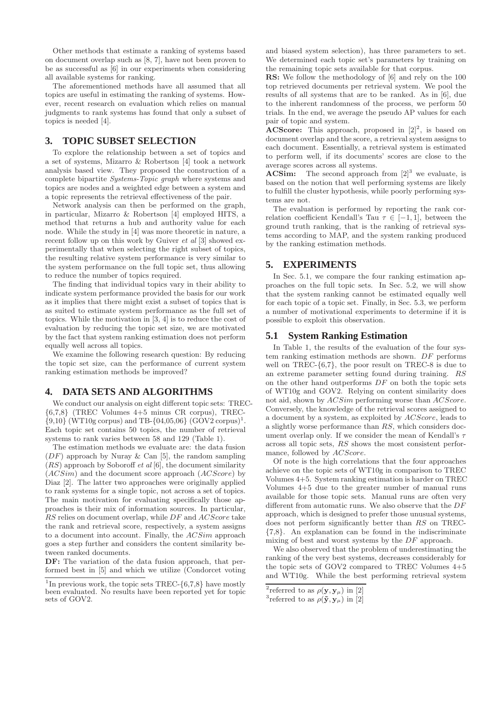Other methods that estimate a ranking of systems based on document overlap such as [8, 7], have not been proven to be as successful as [6] in our experiments when considering all available systems for ranking.

The aforementioned methods have all assumed that all topics are useful in estimating the ranking of systems. However, recent research on evaluation which relies on manual judgments to rank systems has found that only a subset of topics is needed [4].

# **3. TOPIC SUBSET SELECTION**

To explore the relationship between a set of topics and a set of systems, Mizarro & Robertson [4] took a network analysis based view. They proposed the construction of a complete bipartite Systems-Topic graph where systems and topics are nodes and a weighted edge between a system and a topic represents the retrieval effectiveness of the pair.

Network analysis can then be performed on the graph, in particular, Mizarro & Robertson [4] employed HITS, a method that returns a hub and authority value for each node. While the study in [4] was more theoretic in nature, a recent follow up on this work by Guiver et al [3] showed experimentally that when selecting the right subset of topics, the resulting relative system performance is very similar to the system performance on the full topic set, thus allowing to reduce the number of topics required.

The finding that individual topics vary in their ability to indicate system performance provided the basis for our work as it implies that there might exist a subset of topics that is as suited to estimate system performance as the full set of topics. While the motivation in [3, 4] is to reduce the cost of evaluation by reducing the topic set size, we are motivated by the fact that system ranking estimation does not perform equally well across all topics.

We examine the following research question: By reducing the topic set size, can the performance of current system ranking estimation methods be improved?

### **4. DATA SETS AND ALGORITHMS**

We conduct our analysis on eight different topic sets: TREC- {6,7,8} (TREC Volumes 4+5 minus CR corpus), TREC-  $\{9,10\}$  (WT10g corpus) and TB- $\{04,05,06\}$  (GOV2 corpus)<sup>1</sup>. Each topic set contains 50 topics, the number of retrieval systems to rank varies between 58 and 129 (Table 1).

The estimation methods we evaluate are: the data fusion  $(DF)$  approach by Nuray & Can [5], the random sampling  $(RS)$  approach by Soboroff *et al* [6], the document similarity  $(ACSim)$  and the document score approach  $(ACScore)$  by Diaz [2]. The latter two approaches were originally applied to rank systems for a single topic, not across a set of topics. The main motivation for evaluating specifically those approaches is their mix of information sources. In particular, RS relies on document overlap, while DF and ACScore take the rank and retrieval score, respectively, a system assigns to a document into account. Finally, the ACSim approach goes a step further and considers the content similarity between ranked documents.

DF: The variation of the data fusion approach, that performed best in [5] and which we utilize (Condorcet voting and biased system selection), has three parameters to set. We determined each topic set's parameters by training on the remaining topic sets available for that corpus.

RS: We follow the methodology of [6] and rely on the 100 top retrieved documents per retrieval system. We pool the results of all systems that are to be ranked. As in [6], due to the inherent randomness of the process, we perform 50 trials. In the end, we average the pseudo AP values for each pair of topic and system.

**ACScore:** This approach, proposed in  $[2]^2$ , is based on document overlap and the score, a retrieval system assigns to each document. Essentially, a retrieval system is estimated to perform well, if its documents' scores are close to the average scores across all systems.

**ACSim:** The second approach from  $[2]^3$  we evaluate, is based on the notion that well performing systems are likely to fulfill the cluster hypothesis, while poorly performing systems are not.

The evaluation is performed by reporting the rank correlation coefficient Kendall's Tau  $\tau \in [-1, 1]$ , between the ground truth ranking, that is the ranking of retrieval systems according to MAP, and the system ranking produced by the ranking estimation methods.

# **5. EXPERIMENTS**

In Sec. 5.1, we compare the four ranking estimation approaches on the full topic sets. In Sec. 5.2, we will show that the system ranking cannot be estimated equally well for each topic of a topic set. Finally, in Sec. 5.3, we perform a number of motivational experiments to determine if it is possible to exploit this observation.

### **5.1 System Ranking Estimation**

In Table 1, the results of the evaluation of the four system ranking estimation methods are shown. DF performs well on TREC- $\{6,7\}$ , the poor result on TREC-8 is due to an extreme parameter setting found during training. RS on the other hand outperforms  $DF$  on both the topic sets of WT10g and GOV2. Relying on content similarity does not aid, shown by  $ACSim$  performing worse than  $ACScore$ . Conversely, the knowledge of the retrieval scores assigned to a document by a system, as exploited by ACScore, leads to a slightly worse performance than RS, which considers document overlap only. If we consider the mean of Kendall's  $\tau$ across all topic sets, RS shows the most consistent performance, followed by  $ACScore$ .

Of note is the high correlations that the four approaches achieve on the topic sets of WT10g in comparison to TREC Volumes 4+5. System ranking estimation is harder on TREC Volumes 4+5 due to the greater number of manual runs available for those topic sets. Manual runs are often very different from automatic runs. We also observe that the DF approach, which is designed to prefer those unusual systems, does not perform significantly better than RS on TREC-{7,8}. An explanation can be found in the indiscriminate mixing of best and worst systems by the DF approach.

We also observed that the problem of underestimating the ranking of the very best systems, decreases considerably for the topic sets of GOV2 compared to TREC Volumes 4+5 and WT10g. While the best performing retrieval system

<sup>&</sup>lt;sup>1</sup>In previous work, the topic sets TREC- ${6,7,8}$  have mostly been evaluated. No results have been reported yet for topic sets of GOV2.

<sup>&</sup>lt;sup>2</sup>referred to as  $\rho(\mathbf{y}, \mathbf{y}_{\mu})$  in [2]

<sup>&</sup>lt;sup>3</sup> referred to as  $\rho(\mathbf{\tilde{y}}, \mathbf{y}_{\mu})$  in [2]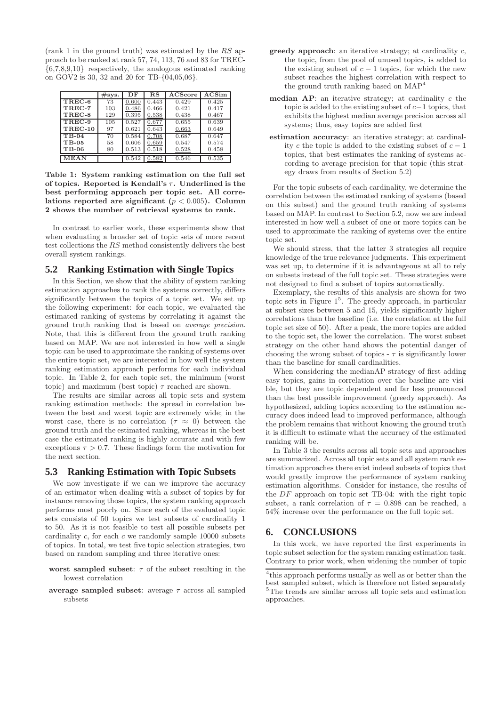(rank 1 in the ground truth) was estimated by the RS approach to be ranked at rank 57, 74, 113, 76 and 83 for TREC- {6,7,8,9,10} respectively, the analogous estimated ranking on GOV2 is 30, 32 and 20 for TB-{04,05,06}.

|              | #sys. | DF    | $_{\rm RS}$ | <b>ACScore</b> | ACSim |
|--------------|-------|-------|-------------|----------------|-------|
| TREC-6       | 73    | 0.600 | 0.443       | 0.429          | 0.425 |
| TREC-7       | 103   | 0.486 | 0.466       | 0.421          | 0.417 |
| TREC-8       | 129   | 0.395 | 0.538       | 0.438          | 0.467 |
| TREC-9       | 105   | 0.527 | 0.677       | 0.655          | 0.639 |
| TREC-10      | 97    | 0.621 | 0.643       | 0.663          | 0.649 |
| $TB-04$      | 70    | 0.584 | 0.708       | 0.687          | 0.647 |
| $TB-0.5$     | 58    | 0.606 | 0.659       | 0.547          | 0.574 |
| <b>TB-06</b> | 80    | 0.513 | 0.518       | 0.528          | 0.458 |
| <b>MEAN</b>  |       | 0.542 | 0.582       | 0.546          | 0.535 |

Table 1: System ranking estimation on the full set of topics. Reported is Kendall's  $\tau$ . Underlined is the best performing approach per topic set. All correlations reported are significant ( $p < 0.005$ ). Column 2 shows the number of retrieval systems to rank.

In contrast to earlier work, these experiments show that when evaluating a broader set of topic sets of more recent test collections the RS method consistently delivers the best overall system rankings.

# **5.2 Ranking Estimation with Single Topics**

In this Section, we show that the ability of system ranking estimation approaches to rank the systems correctly, differs significantly between the topics of a topic set. We set up the following experiment: for each topic, we evaluated the estimated ranking of systems by correlating it against the ground truth ranking that is based on average precision. Note, that this is different from the ground truth ranking based on MAP. We are not interested in how well a single topic can be used to approximate the ranking of systems over the entire topic set, we are interested in how well the system ranking estimation approach performs for each individual topic. In Table 2, for each topic set, the minimum (worst topic) and maximum (best topic)  $\tau$  reached are shown.

The results are similar across all topic sets and system ranking estimation methods: the spread in correlation between the best and worst topic are extremely wide; in the worst case, there is no correlation ( $\tau \approx 0$ ) between the ground truth and the estimated ranking, whereas in the best case the estimated ranking is highly accurate and with few exceptions  $\tau > 0.7$ . These findings form the motivation for the next section.

### **5.3 Ranking Estimation with Topic Subsets**

We now investigate if we can we improve the accuracy of an estimator when dealing with a subset of topics by for instance removing those topics, the system ranking approach performs most poorly on. Since each of the evaluated topic sets consists of 50 topics we test subsets of cardinality 1 to 50. As it is not feasible to test all possible subsets per cardinality  $c$ , for each  $c$  we randomly sample 10000 subsets of topics. In total, we test five topic selection strategies, two based on random sampling and three iterative ones:

- worst sampled subset:  $\tau$  of the subset resulting in the lowest correlation
- average sampled subset: average  $\tau$  across all sampled subsets
- $greedy$  approach: an iterative strategy; at cardinality  $c$ , the topic, from the pool of unused topics, is added to the existing subset of  $c - 1$  topics, for which the new subset reaches the highest correlation with respect to the ground truth ranking based on MAP<sup>4</sup>
- median  $AP$ : an iterative strategy; at cardinality c the topic is added to the existing subset of  $c-1$  topics, that exhibits the highest median average precision across all systems; thus, easy topics are added first
- estimation accuracy: an iterative strategy; at cardinality c the topic is added to the existing subset of  $c - 1$ topics, that best estimates the ranking of systems according to average precision for that topic (this strategy draws from results of Section 5.2)

For the topic subsets of each cardinality, we determine the correlation between the estimated ranking of systems (based on this subset) and the ground truth ranking of systems based on MAP. In contrast to Section 5.2, now we are indeed interested in how well a subset of one or more topics can be used to approximate the ranking of systems over the entire topic set.

We should stress, that the latter 3 strategies all require knowledge of the true relevance judgments. This experiment was set up, to determine if it is advantageous at all to rely on subsets instead of the full topic set. These strategies were not designed to find a subset of topics automatically.

Exemplary, the results of this analysis are shown for two topic sets in Figure 1<sup>5</sup> . The greedy approach, in particular at subset sizes between 5 and 15, yields significantly higher correlations than the baseline (i.e. the correlation at the full topic set size of 50). After a peak, the more topics are added to the topic set, the lower the correlation. The worst subset strategy on the other hand shows the potential danger of choosing the wrong subset of topics -  $\tau$  is significantly lower than the baseline for small cardinalities.

When considering the medianAP strategy of first adding easy topics, gains in correlation over the baseline are visible, but they are topic dependent and far less pronounced than the best possible improvement (greedy approach). As hypothesized, adding topics according to the estimation accuracy does indeed lead to improved performance, although the problem remains that without knowing the ground truth it is difficult to estimate what the accuracy of the estimated ranking will be.

In Table 3 the results across all topic sets and approaches are summarized. Across all topic sets and all system rank estimation approaches there exist indeed subsets of topics that would greatly improve the performance of system ranking estimation algorithms. Consider for instance, the results of the DF approach on topic set TB-04: with the right topic subset, a rank correlation of  $\tau = 0.898$  can be reached, a 54% increase over the performance on the full topic set.

### **6. CONCLUSIONS**

In this work, we have reported the first experiments in topic subset selection for the system ranking estimation task. Contrary to prior work, when widening the number of topic

<sup>4</sup> this approach performs usually as well as or better than the best sampled subset, which is therefore not listed separately <sup>5</sup>The trends are similar across all topic sets and estimation approaches.